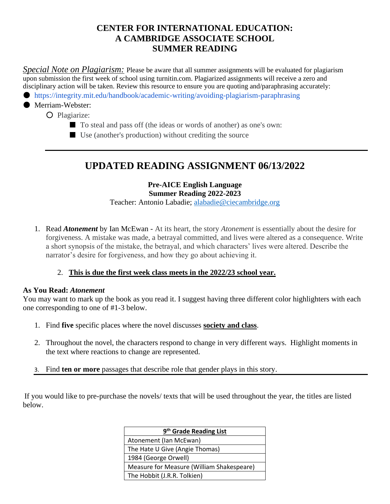# **CENTER FOR INTERNATIONAL EDUCATION: A CAMBRIDGE ASSOCIATE SCHOOL SUMMER READING**

*Special Note on Plagiarism:* Please be aware that all summer assignments will be evaluated for plagiarism upon submission the first week of school using turnitin.com. Plagiarized assignments will receive a zero and disciplinary action will be taken. Review this resource to ensure you are quoting and/paraphrasing accurately:

● https://integrity.mit.edu/handbook/academic-writing/avoiding-plagiarism-paraphrasing

# ● Merriam-Webster:

- Plagiarize:
	- To steal and pass off (the ideas or words of another) as one's own:
	- Use (another's production) without crediting the source

# **UPDATED READING ASSIGNMENT 06/13/2022**

**Pre-AICE English Language Summer Reading 2022-2023** Teacher: Antonio Labadie; [alabadie@ciecambridge.org](mailto:alabadie@ciecambridge.org)

1. Read *Atonement* by Ian McEwan - At its heart, the story *Atonement* is essentially about the desire for forgiveness. A mistake was made, a betrayal committed, and lives were altered as a consequence. Write a short synopsis of the mistake, the betrayal, and which characters' lives were altered. Describe the narrator's desire for forgiveness, and how they go about achieving it.

#### 2. **This is due the first week class meets in the 2022/23 school year.**

#### **As You Read:** *Atonement*

You may want to mark up the book as you read it. I suggest having three different color highlighters with each one corresponding to one of #1-3 below.

- 1. Find **five** specific places where the novel discusses **society and class**.
- 2. Throughout the novel, the characters respond to change in very different ways. Highlight moments in the text where reactions to change are represented.
- 3. Find **ten or more** passages that describe role that gender plays in this story.

If you would like to pre-purchase the novels/ texts that will be used throughout the year, the titles are listed below.

| 9 <sup>th</sup> Grade Reading List        |  |
|-------------------------------------------|--|
| Atonement (Ian McEwan)                    |  |
| The Hate U Give (Angie Thomas)            |  |
| 1984 (George Orwell)                      |  |
| Measure for Measure (William Shakespeare) |  |
| The Hobbit (J.R.R. Tolkien)               |  |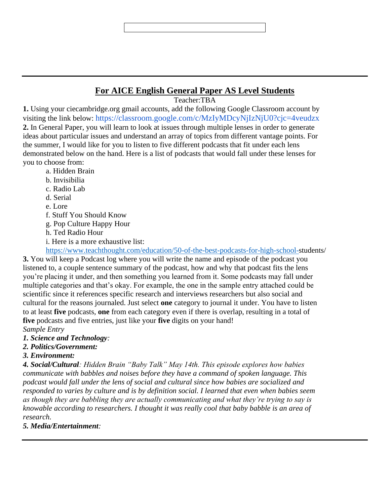# **For AICE English General Paper AS Level Students**

Teacher:TBA

**1.** Using your ciecambridge.org gmail accounts, add the following Google Classroom account by visiting the link below: https://classroom.google.com/c/MzIyMDcyNjIzNjU0?cjc=4veudzx **2.** In General Paper, you will learn to look at issues through multiple lenses in order to generate ideas about particular issues and understand an array of topics from different vantage points. For the summer, I would like for you to listen to five different podcasts that fit under each lens demonstrated below on the hand. Here is a list of podcasts that would fall under these lenses for you to choose from:

- a. Hidden Brain
- b. Invisibilia
- c. Radio Lab
- d. Serial
- e. Lore
- f. Stuff You Should Know
- g. Pop Culture Happy Hour
- h. Ted Radio Hour
- i. Here is a more exhaustive list:

[https://www.teachthought.com/education/50-of-the-best-podcasts-for-high-school-s](https://www.teachthought.com/education/50-of-the-best-podcasts-for-high-school-)tudents/ **3.** You will keep a Podcast log where you will write the name and episode of the podcast you listened to, a couple sentence summary of the podcast, how and why that podcast fits the lens you're placing it under, and then something you learned from it. Some podcasts may fall under multiple categories and that's okay. For example, the one in the sample entry attached could be scientific since it references specific research and interviews researchers but also social and cultural for the reasons journaled. Just select **one** category to journal it under. You have to listen to at least **five** podcasts, **one** from each category even if there is overlap, resulting in a total of **five** podcasts and five entries, just like your **five** digits on your hand! *Sample Entry*

- *1. Science and Technology:*
- *2. Politics/Government:*

#### *3. Environment:*

*4. Social/Cultural: Hidden Brain "Baby Talk" May 14th. This episode explores how babies communicate with babbles and noises before they have a command of spoken language. This podcast would fall under the lens of social and cultural since how babies are socialized and responded to varies by culture and is by definition social. I learned that even when babies seem as though they are babbling they are actually communicating and what they're trying to say is knowable according to researchers. I thought it was really cool that baby babble is an area of research.*

### *5. Media/Entertainment:*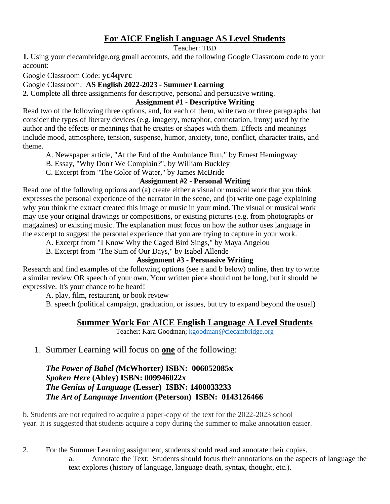# **For AICE English Language AS Level Students**

Teacher: TBD

**1.** Using your ciecambridge.org gmail accounts, add the following Google Classroom code to your account:

Google Classroom Code: **yc4qvrc**

Google Classroom: **AS English 2022-2023 - Summer Learning**

**2.** Complete all three assignments for descriptive, personal and persuasive writing.

#### **Assignment #1 - Descriptive Writing**

Read two of the following three options, and, for each of them, write two or three paragraphs that consider the types of literary devices (e.g. imagery, metaphor, connotation, irony) used by the author and the effects or meanings that he creates or shapes with them. Effects and meanings include mood, atmosphere, tension, suspense, humor, anxiety, tone, conflict, character traits, and theme.

A. Newspaper article, "At the End of the Ambulance Run," by Ernest Hemingway

B. Essay, "Why Don't We Complain?", by William Buckley

C. Excerpt from "The Color of Water," by James McBride

### **Assignment #2 - Personal Writing**

Read one of the following options and (a) create either a visual or musical work that you think expresses the personal experience of the narrator in the scene, and (b) write one page explaining why you think the extract created this image or music in your mind. The visual or musical work may use your original drawings or compositions, or existing pictures (e.g. from photographs or magazines) or existing music. The explanation must focus on how the author uses language in the excerpt to suggest the personal experience that you are trying to capture in your work.

A. Excerpt from "I Know Why the Caged Bird Sings," by Maya Angelou

B. Excerpt from "The Sum of Our Days," by Isabel Allende

### **Assignment #3 - Persuasive Writing**

Research and find examples of the following options (see a and b below) online, then try to write a similar review OR speech of your own. Your written piece should not be long, but it should be expressive. It's your chance to be heard!

A. play, film, restaurant, or book review

B. speech (political campaign, graduation, or issues, but try to expand beyond the usual)

# **Summer Work For AICE English Language A Level Students**

Teacher: Kara Goodman; [kgoodman@ciecambridge.org](mailto:kgoodman@ciecambridge.org)

# 1. Summer Learning will focus on **one** of the following:

### *The Power of Babel (***McWhorter***)* **ISBN: 006052085x** *Spoken Here* **(Abley) ISBN: 009946022x** *The Genius of Language* **(Lesser) ISBN: 1400033233** *The Art of Language Invention* **(Peterson) ISBN: 0143126466**

b. Students are not required to acquire a paper-copy of the text for the 2022-2023 school year. It is suggested that students acquire a copy during the summer to make annotation easier.

2. For the Summer Learning assignment, students should read and annotate their copies.

a. Annotate the Text: Students should focus their annotations on the aspects of language the text explores (history of language, language death, syntax, thought, etc.).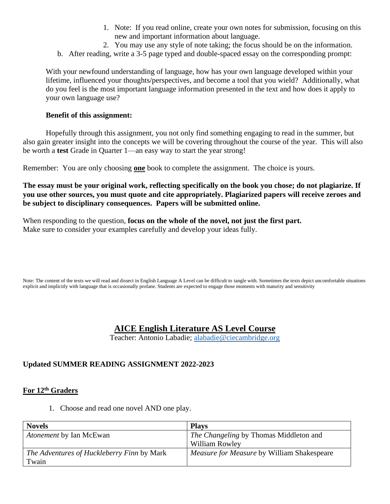- 1. Note: If you read online, create your own notes for submission, focusing on this new and important information about language.
- 2. You may use any style of note taking; the focus should be on the information.
- b. After reading, write a 3-5 page typed and double-spaced essay on the corresponding prompt:

With your newfound understanding of language, how has your own language developed within your lifetime, influenced your thoughts/perspectives, and become a tool that you wield? Additionally, what do you feel is the most important language information presented in the text and how does it apply to your own language use?

#### **Benefit of this assignment:**

Hopefully through this assignment, you not only find something engaging to read in the summer, but also gain greater insight into the concepts we will be covering throughout the course of the year. This will also be worth a **test** Grade in Quarter 1—an easy way to start the year strong!

Remember: You are only choosing **one** book to complete the assignment. The choice is yours.

**The essay must be your original work, reflecting specifically on the book you chose; do not plagiarize. If you use other sources, you must quote and cite appropriately. Plagiarized papers will receive zeroes and be subject to disciplinary consequences. Papers will be submitted online.**

When responding to the question, **focus on the whole of the novel, not just the first part.** Make sure to consider your examples carefully and develop your ideas fully.

Note: The content of the texts we will read and dissect in English Language A Level can be difficult to tangle with. Sometimes the texts depict uncomfortable situations explicit and implicitly with language that is occasionally profane. Students are expected to engage those moments with maturity and sensitivity

### **AICE English Literature AS Level Course**

Teacher: Antonio Labadie; [alabadie@ciecambridge.org](mailto:alabadie@ciecambridge.org)

# **Updated SUMMER READING ASSIGNMENT 2022-2023**

# **For 12th Graders**

1. Choose and read one novel AND one play.

| <b>Novels</b>                              | <b>Plays</b>                                      |
|--------------------------------------------|---------------------------------------------------|
| Atonement by Ian McEwan                    | The Changeling by Thomas Middleton and            |
|                                            | <b>William Rowley</b>                             |
| The Adventures of Huckleberry Finn by Mark | <i>Measure for Measure by William Shakespeare</i> |
| Twain                                      |                                                   |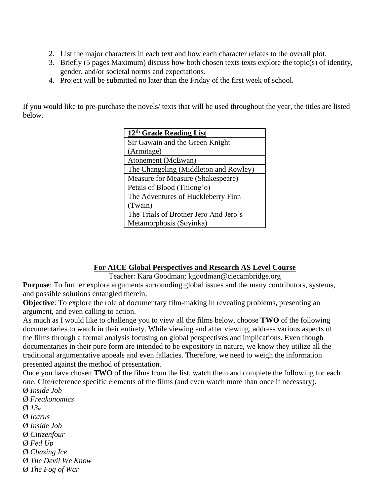- 2. List the major characters in each text and how each character relates to the overall plot.
- 3. Briefly (5 pages Maximum) discuss how both chosen texts texts explore the topic(s) of identity, gender, and/or societal norms and expectations.
- 4. Project will be submitted no later than the Friday of the first week of school.

If you would like to pre-purchase the novels/ texts that will be used throughout the year, the titles are listed below.

| 12 <sup>th</sup> Grade Reading List   |  |
|---------------------------------------|--|
| Sir Gawain and the Green Knight       |  |
| (Armitage)                            |  |
| Atonement (McEwan)                    |  |
| The Changeling (Middleton and Rowley) |  |
| Measure for Measure (Shakespeare)     |  |
| Petals of Blood (Thiong'o)            |  |
| The Adventures of Huckleberry Finn    |  |
| (Twain)                               |  |
| The Trials of Brother Jero And Jero's |  |
| Metamorphosis (Soyinka)               |  |

#### **For AICE Global Perspectives and Research AS Level Course**

Teacher: Kara Goodman; kgoodman@ciecambridge.org

**Purpose**: To further explore arguments surrounding global issues and the many contributors, systems, and possible solutions entangled therein.

**Objective**: To explore the role of documentary film-making in revealing problems, presenting an argument, and even calling to action.

As much as I would like to challenge you to view all the films below, choose **TWO** of the following documentaries to watch in their entirety. While viewing and after viewing, address various aspects of the films through a formal analysis focusing on global perspectives and implications. Even though documentaries in their pure form are intended to be expository in nature, we know they utilize all the traditional argumentative appeals and even fallacies. Therefore, we need to weigh the information presented against the method of presentation.

Once you have chosen **TWO** of the films from the list, watch them and complete the following for each one. Cite/reference specific elements of the films (and even watch more than once if necessary). Ø *Inside Job*

Ø *Freakonomics* Ø *13th* Ø *Icarus* Ø *Inside Job* Ø *Citizenfour* Ø *Fed Up* Ø *Chasing Ice* Ø *The Devil We Know* Ø *The Fog of War*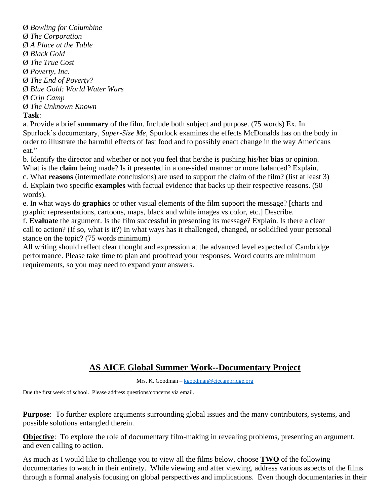Ø *Bowling for Columbine* Ø *The Corporation* Ø *A Place at the Table* Ø *Black Gold* Ø *The True Cost* Ø *Poverty, Inc.* Ø *The End of Poverty?* Ø *Blue Gold: World Water Wars* Ø *Crip Camp* Ø *The Unknown Known* **Task**:

a. Provide a brief **summary** of the film. Include both subject and purpose. (75 words) Ex. In Spurlock's documentary, *Super-Size Me*, Spurlock examines the effects McDonalds has on the body in order to illustrate the harmful effects of fast food and to possibly enact change in the way Americans eat."

b. Identify the director and whether or not you feel that he/she is pushing his/her **bias** or opinion. What is the **claim** being made? Is it presented in a one-sided manner or more balanced? Explain. c. What **reasons** (intermediate conclusions) are used to support the claim of the film? (list at least 3)

d. Explain two specific **examples** with factual evidence that backs up their respective reasons. (50 words).

e. In what ways do **graphics** or other visual elements of the film support the message? [charts and graphic representations, cartoons, maps, black and white images vs color, etc.] Describe.

f. **Evaluate** the argument. Is the film successful in presenting its message? Explain. Is there a clear call to action? (If so, what is it?) In what ways has it challenged, changed, or solidified your personal stance on the topic? (75 words minimum)

All writing should reflect clear thought and expression at the advanced level expected of Cambridge performance. Please take time to plan and proofread your responses. Word counts are minimum requirements, so you may need to expand your answers.

# **AS AICE Global Summer Work--Documentary Project**

Mrs. K. Goodman – [kgoodman@ciecambridge.org](mailto:kgoodman@ciecambridge.org)

Due the first week of school. Please address questions/concerns via email.

**Purpose**: To further explore arguments surrounding global issues and the many contributors, systems, and possible solutions entangled therein.

**Objective**: To explore the role of documentary film-making in revealing problems, presenting an argument, and even calling to action.

As much as I would like to challenge you to view all the films below, choose **TWO** of the following documentaries to watch in their entirety. While viewing and after viewing, address various aspects of the films through a formal analysis focusing on global perspectives and implications. Even though documentaries in their